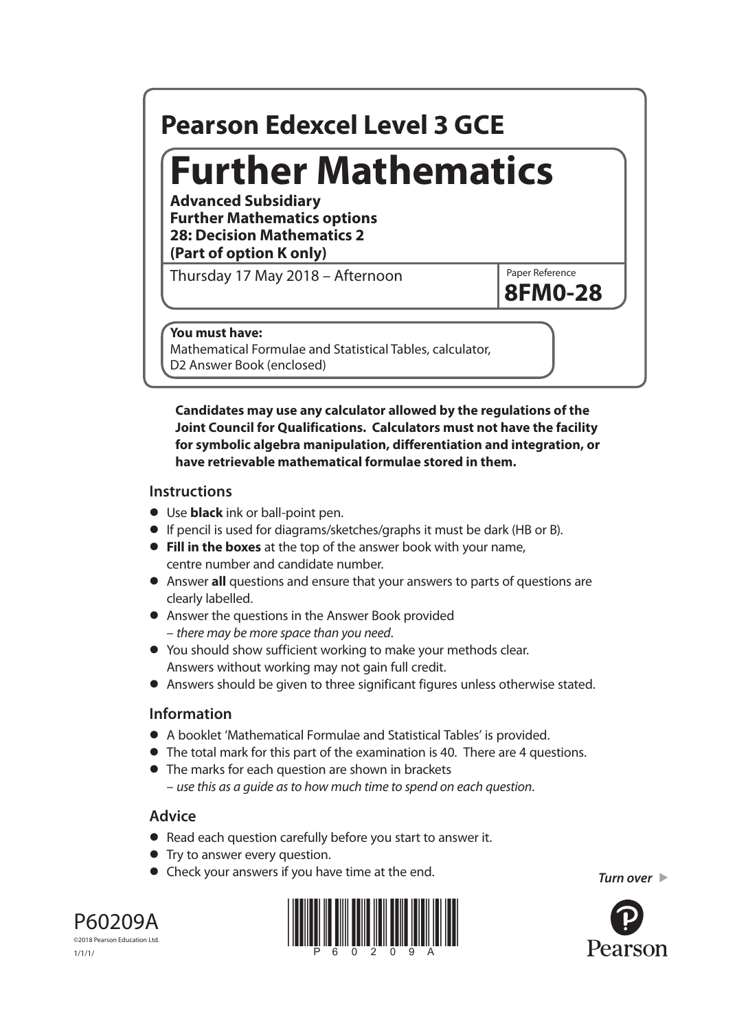## **Pearson Edexcel Level 3 GCE**

# **Further Mathematics**

**Advanced Subsidiary Further Mathematics options 28: Decision Mathematics 2 (Part of option K only)**

Thursday 17 May 2018 – Afternoon

Paper Reference **8FM0-28**

### **You must have:**

Mathematical Formulae and Statistical Tables, calculator, D2 Answer Book (enclosed)

**Candidates may use any calculator allowed by the regulations of the Joint Council for Qualifications. Calculators must not have the facility for symbolic algebra manipulation, differentiation and integration, or have retrievable mathematical formulae stored in them.**

### **Instructions**

- **•** Use **black** ink or ball-point pen.
- **•** If pencil is used for diagrams/sketches/graphs it must be dark (HB or B).
- **• Fill in the boxes** at the top of the answer book with your name, centre number and candidate number.
- **•** Answer **all** questions and ensure that your answers to parts of questions are clearly labelled.
- **•** Answer the questions in the Answer Book provided – *there may be more space than you need*.
- **•** You should show sufficient working to make your methods clear. Answers without working may not gain full credit.
- **•** Answers should be given to three significant figures unless otherwise stated.

## **Information**

- **•** A booklet 'Mathematical Formulae and Statistical Tables' is provided.
- **•** The total mark for this part of the examination is 40. There are 4 questions.
- **•** The marks for each question are shown in brackets – *use this as a guide as to how much time to spend on each question*.

## **Advice**

- **•** Read each question carefully before you start to answer it.
- **•** Try to answer every question.
- **•** Check your answers if you have time at the end.





*Turn over* 

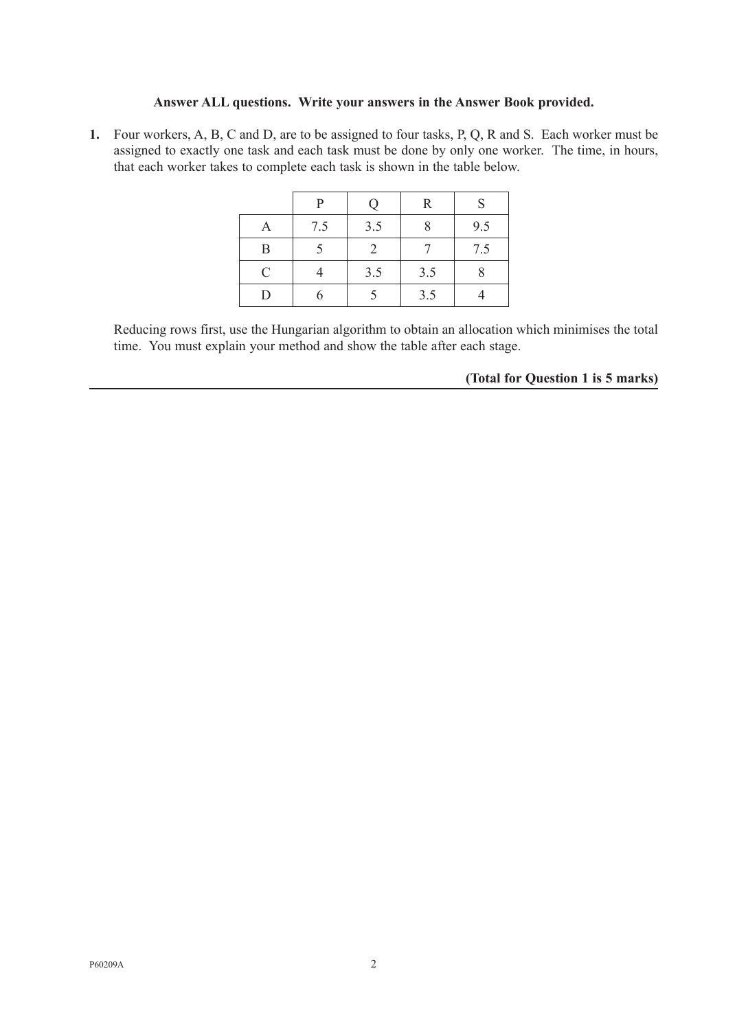#### **Answer ALL questions. Write your answers in the Answer Book provided.**

**1.** Four workers, A, B, C and D, are to be assigned to four tasks, P, Q, R and S. Each worker must be assigned to exactly one task and each task must be done by only one worker. The time, in hours, that each worker takes to complete each task is shown in the table below.

|               | P   | O              | R   | S   |
|---------------|-----|----------------|-----|-----|
| A             | 7.5 | 3.5            | 8   | 9.5 |
| B             |     | $\mathfrak{D}$ |     | 7.5 |
| $\mathcal{C}$ |     | 3.5            | 3.5 |     |
| D             |     |                | 3.5 |     |

Reducing rows first, use the Hungarian algorithm to obtain an allocation which minimises the total time. You must explain your method and show the table after each stage.

#### **(Total for Question 1 is 5 marks)**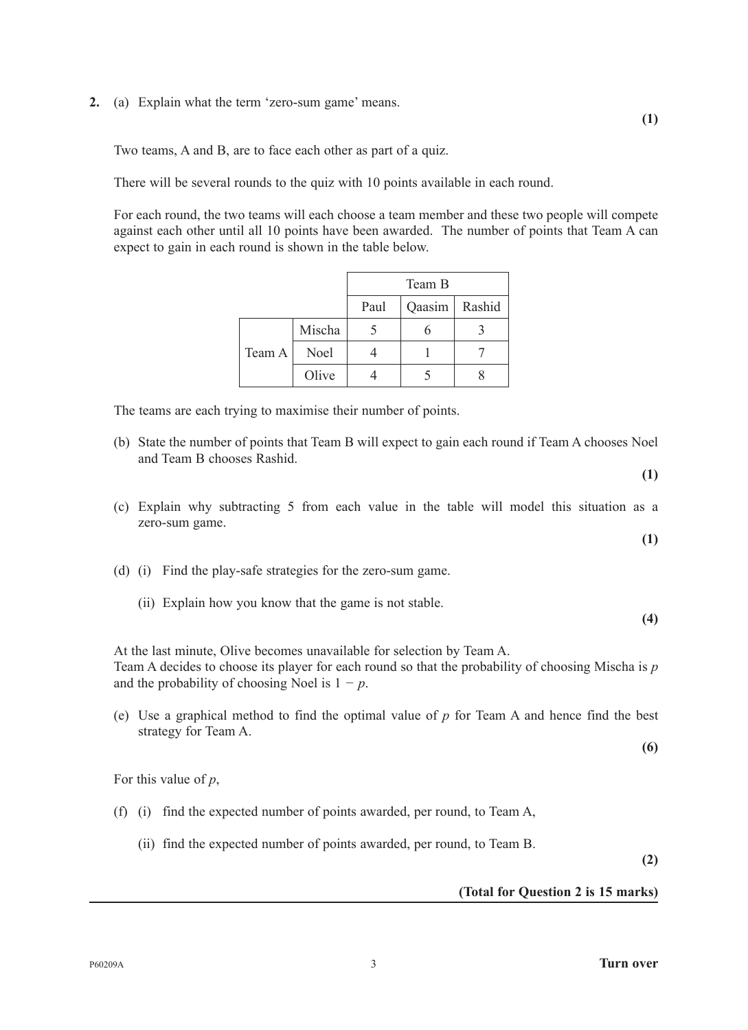**2.** (a) Explain what the term 'zero-sum game' means.

Two teams, A and B, are to face each other as part of a quiz.

There will be several rounds to the quiz with 10 points available in each round.

For each round, the two teams will each choose a team member and these two people will compete against each other until all 10 points have been awarded. The number of points that Team A can expect to gain in each round is shown in the table below.

|        |        | Team B |        |        |  |  |  |
|--------|--------|--------|--------|--------|--|--|--|
|        |        | Paul   | Qaasim | Rashid |  |  |  |
| Team A | Mischa |        |        |        |  |  |  |
|        | Noel   |        |        |        |  |  |  |
|        | Olive  |        |        |        |  |  |  |

The teams are each trying to maximise their number of points.

- (b) State the number of points that Team B will expect to gain each round if Team A chooses Noel and Team B chooses Rashid.
- (c) Explain why subtracting 5 from each value in the table will model this situation as a zero-sum game.

(d) (i) Find the play-safe strategies for the zero-sum game.

(ii) Explain how you know that the game is not stable.

**(4)**

**(1)**

**(1)**

**(1)**

At the last minute, Olive becomes unavailable for selection by Team A. Team A decides to choose its player for each round so that the probability of choosing Mischa is *p* and the probability of choosing Noel is  $1 - p$ .

(e) Use a graphical method to find the optimal value of *p* for Team A and hence find the best strategy for Team A.

**(6)**

For this value of *p*,

- (f) (i) find the expected number of points awarded, per round, to Team A,
	- (ii) find the expected number of points awarded, per round, to Team B.

**(2)**

#### **(Total for Question 2 is 15 marks)**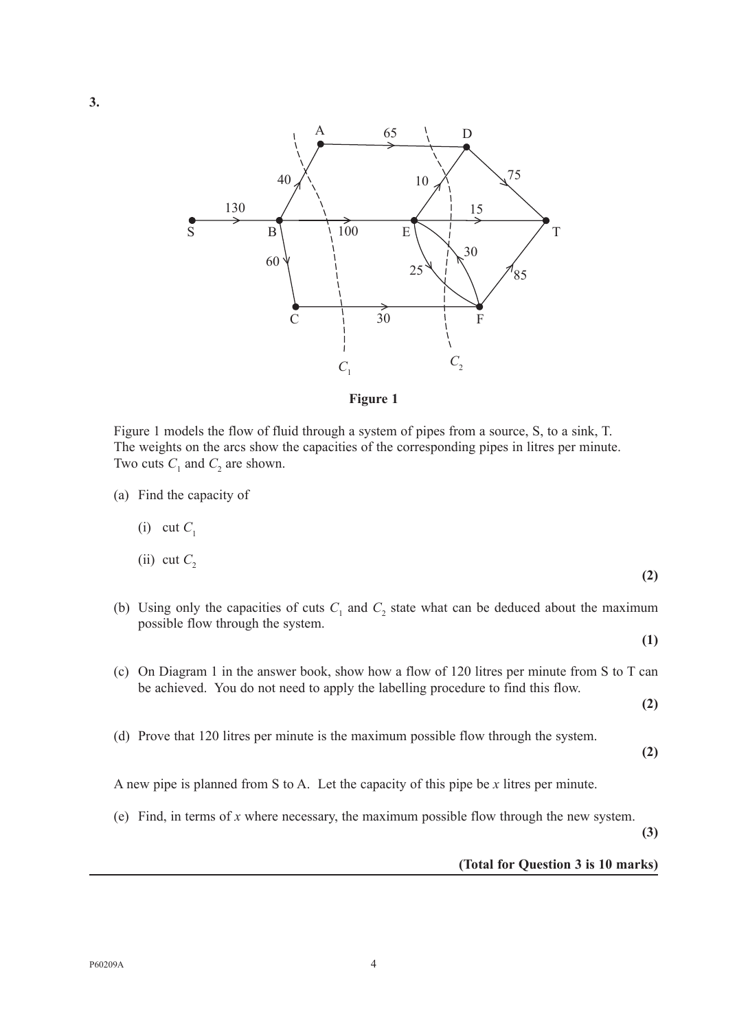



Figure 1 models the flow of fluid through a system of pipes from a source, S, to a sink, T. The weights on the arcs show the capacities of the corresponding pipes in litres per minute. Two cuts  $C_1$  and  $C_2$  are shown.

- (a) Find the capacity of
	- (i) cut  $C_1$

(ii) cut 
$$
C_2
$$
  $(2)$ 

(b) Using only the capacities of cuts  $C_1$  and  $C_2$  state what can be deduced about the maximum possible flow through the system.

$$
(\mathbf{1})
$$

(c) On Diagram 1 in the answer book, show how a flow of 120 litres per minute from S to T can be achieved. You do not need to apply the labelling procedure to find this flow.

**(2)**

(d) Prove that 120 litres per minute is the maximum possible flow through the system.

**(2)**

A new pipe is planned from S to A. Let the capacity of this pipe be *x* litres per minute.

(e) Find, in terms of *x* where necessary, the maximum possible flow through the new system.

**(3)**

#### **(Total for Question 3 is 10 marks)**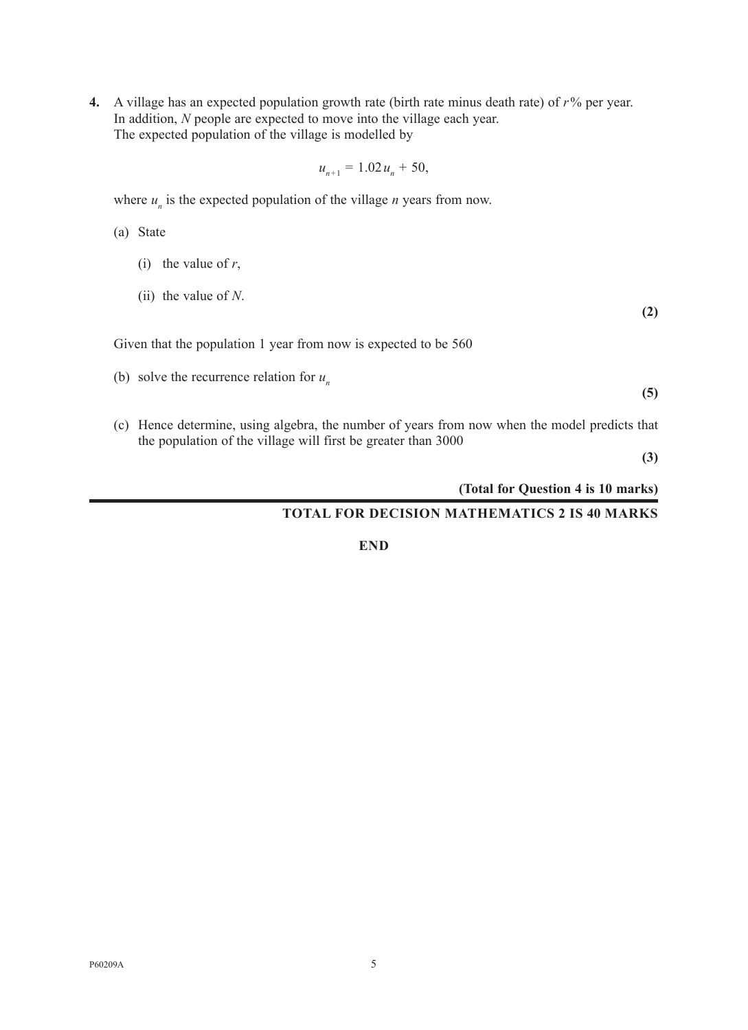**4.** A village has an expected population growth rate (birth rate minus death rate) of *r*% per year. In addition, *N* people are expected to move into the village each year. The expected population of the village is modelled by

$$
u_{n+1} = 1.02 u_n + 50,
$$

where  $u_n$  is the expected population of the village *n* years from now.

(a) State

- (i) the value of  $r$ ,
- (ii) the value of *N*.

Given that the population 1 year from now is expected to be 560

- (b) solve the recurrence relation for  $u_n$
- (c) Hence determine, using algebra, the number of years from now when the model predicts that the population of the village will first be greater than 3000

**(3)**

**(5)**

**(2)**

**(Total for Question 4 is 10 marks)**

#### **TOTAL FOR DECISION MATHEMATICS 2 IS 40 MARKS**

**END**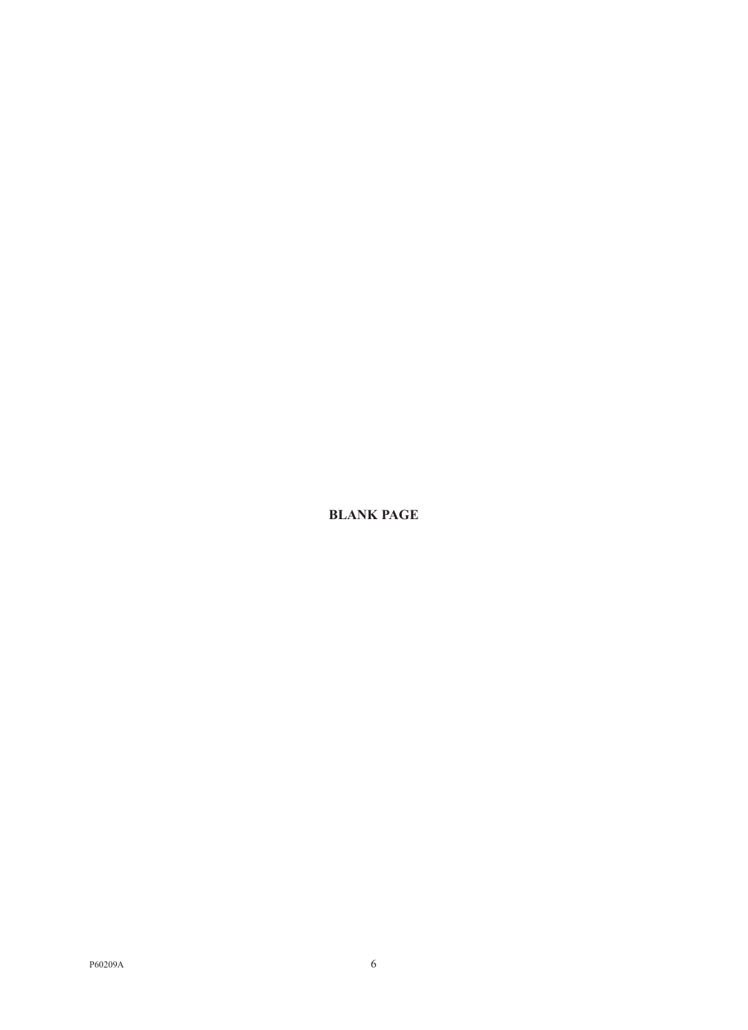**BLANK PAGE**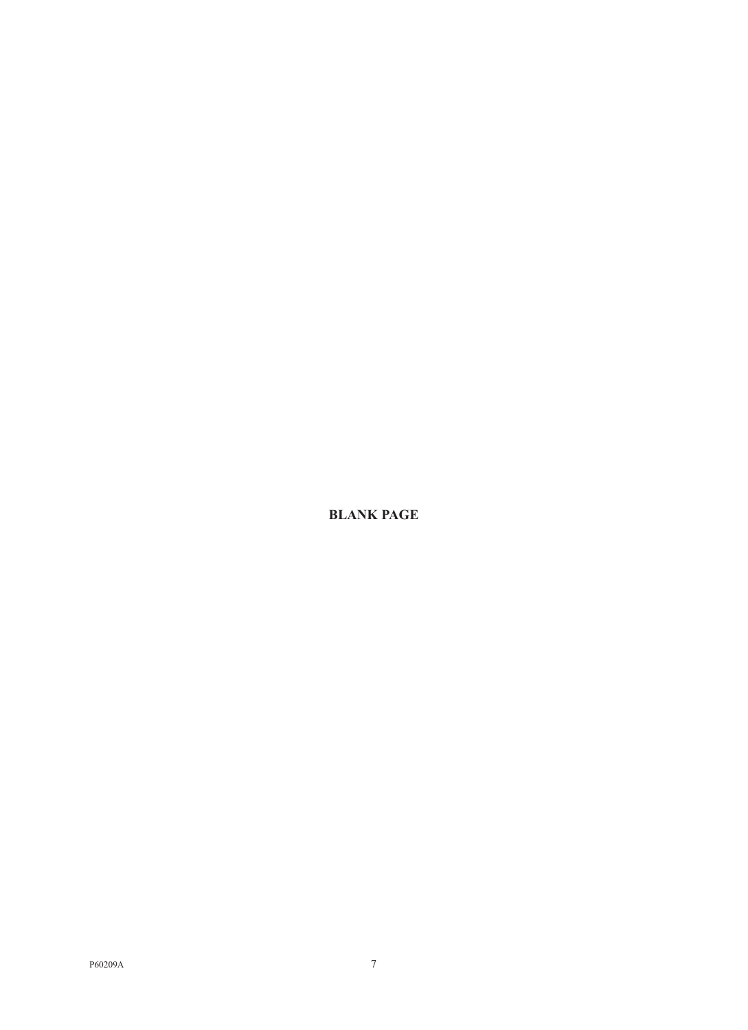**BLANK PAGE**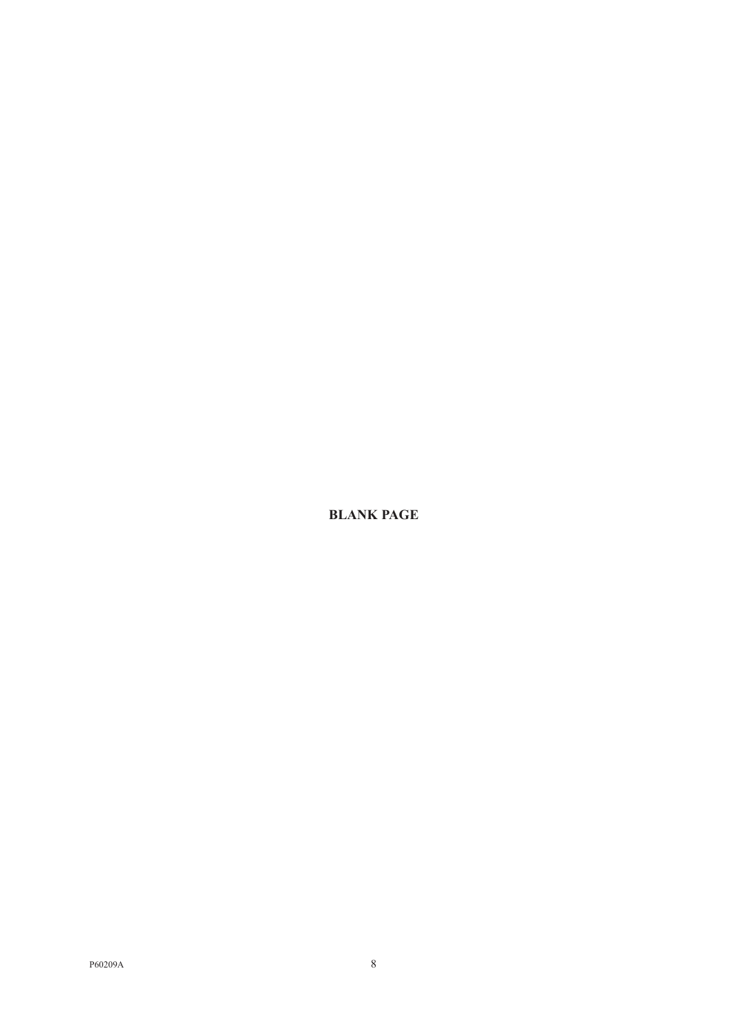**BLANK PAGE**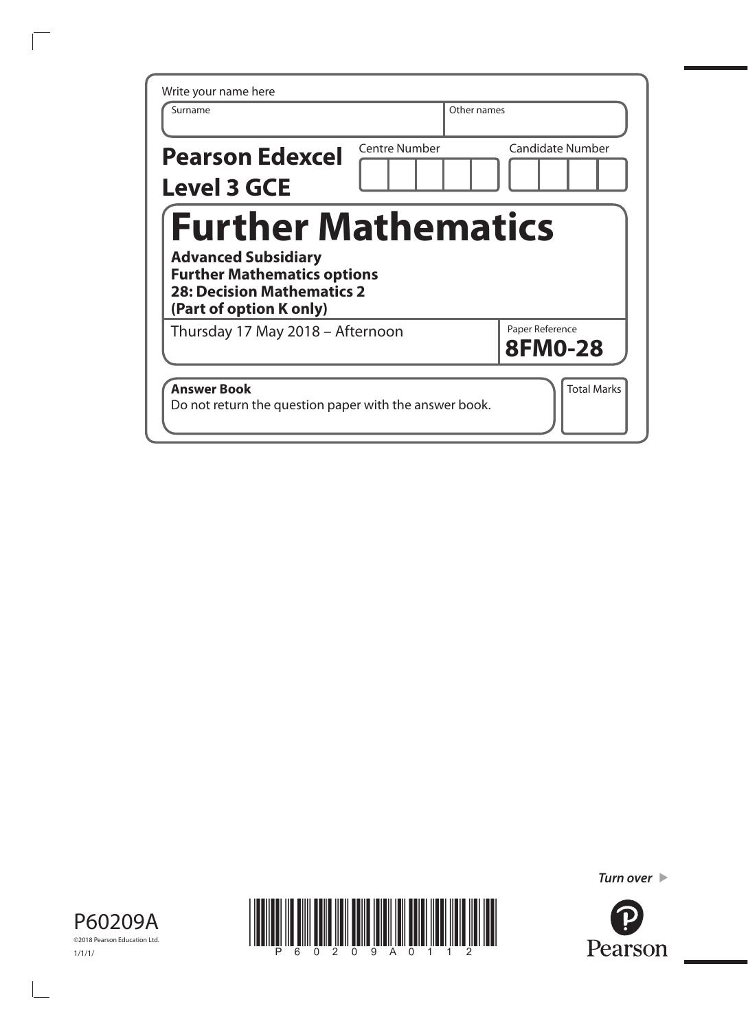| Write your name here                                                                                                                                           |                      |                                   |
|----------------------------------------------------------------------------------------------------------------------------------------------------------------|----------------------|-----------------------------------|
| Surname                                                                                                                                                        |                      | Other names                       |
| <b>Pearson Edexcel</b><br><b>Level 3 GCE</b>                                                                                                                   | <b>Centre Number</b> | <b>Candidate Number</b>           |
| <b>Further Mathematics</b><br><b>Advanced Subsidiary</b><br><b>Further Mathematics options</b><br><b>28: Decision Mathematics 2</b><br>(Part of option K only) |                      |                                   |
| Thursday 17 May 2018 - Afternoon                                                                                                                               |                      | Paper Reference<br><b>8FM0-28</b> |
| <b>Answer Book</b><br>Do not return the question paper with the answer book.                                                                                   |                      | <b>Total Marks</b>                |

*Turn over* 



©2018 Pearson Education Ltd. 1/1/1/

 $\overline{\Box}$ 

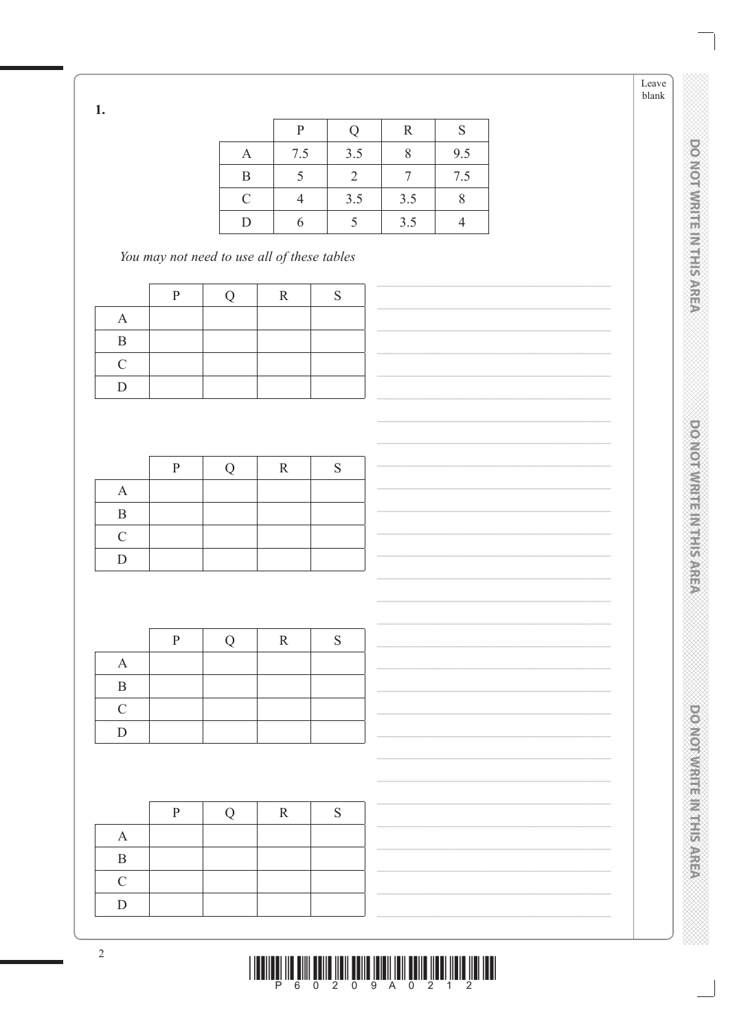## 

|                           | You may not need to use all of these tables |             |           |               |
|---------------------------|---------------------------------------------|-------------|-----------|---------------|
|                           | ${\bf P}$                                   | $\mathbf Q$ | ${\bf R}$ | ${\mathbf S}$ |
| $\boldsymbol{\mathrm{A}}$ |                                             |             |           |               |
| $\, {\bf B}$              |                                             |             |           |               |
| $\mathsf C$               |                                             |             |           |               |
| ${\rm D}$                 |                                             |             |           |               |
|                           |                                             |             |           |               |
|                           |                                             |             |           |               |
|                           |                                             |             |           |               |
|                           | ${\bf P}$                                   | Q           | ${\bf R}$ | ${\mathbf S}$ |
| $\boldsymbol{\mathrm{A}}$ |                                             |             |           |               |
| $\, {\bf B}$              |                                             |             |           |               |
| $\mathsf C$               |                                             |             |           |               |
| ${\rm D}$                 |                                             |             |           |               |
|                           |                                             |             |           |               |
|                           |                                             |             |           |               |
|                           | ${\bf P}$                                   | $\cal Q$    | ${\bf R}$ | ${\mathbf S}$ |
| $\boldsymbol{\mathrm{A}}$ |                                             |             |           |               |
| $\, {\bf B}$              |                                             |             |           |               |
|                           |                                             |             |           |               |
| $\mathbf C$               |                                             |             |           |               |
| ${\rm D}$                 |                                             |             |           |               |
|                           |                                             |             |           |               |
|                           |                                             |             |           |               |
|                           | ${\bf P}$                                   | $\bf Q$     | ${\bf R}$ | ${\bf S}$     |
| $\boldsymbol{\mathrm{A}}$ |                                             |             |           |               |
| $\, {\bf B}$              |                                             |             |           |               |
| $\mathsf C$               |                                             |             |           |               |
| ${\rm D}$                 |                                             |             |           |               |
|                           |                                             |             |           |               |

D 6  $\overline{5}$ 

 $\overline{C}$  $\overline{4}$  $3.5$  $3.5$  $3.5$ 

 $1.$ 

 $\overline{P}$  $\overline{Q}$ S  $\overline{R}$  $7.5$  $3.5$  $8\,$  $9.5$  $\overline{A}$  $\overline{5}$  $\overline{2}$  $\overline{7}$  $\overline{B}$  $7.5$ 8  $\overline{4}$ 

Leave  $blank$ 

**DO NOT WRITE IN THE AREA** 

DO NOT WRITE IN THIS AREA

DONOTWRITE MITHIS AREA

 $\overline{c}$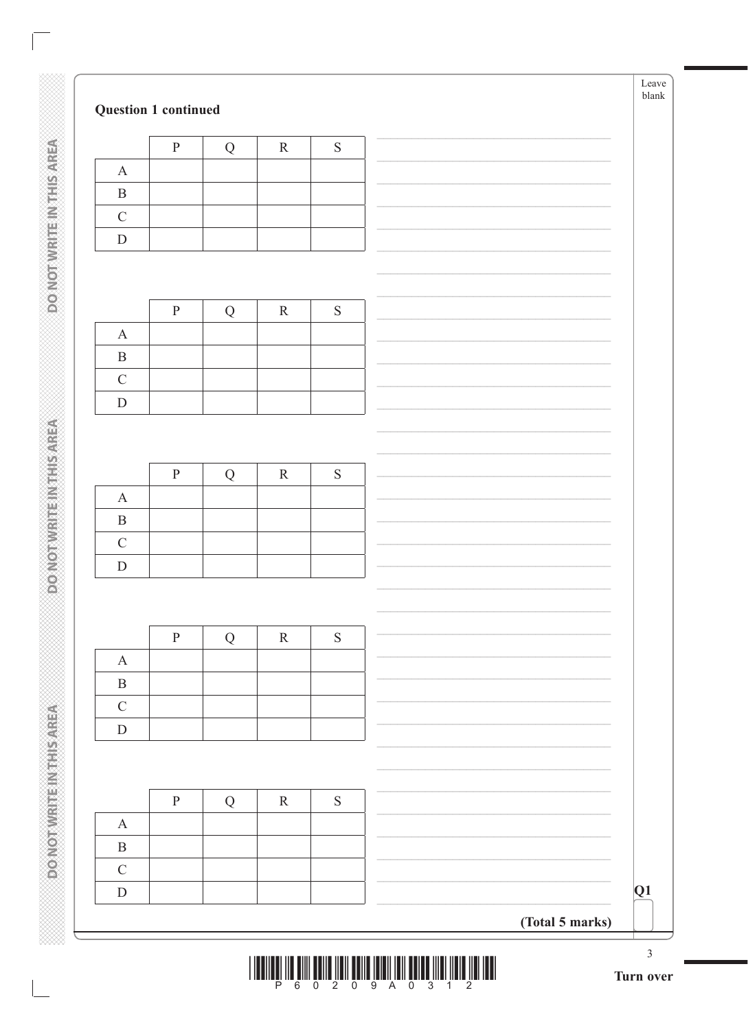#### $\begin{smallmatrix}\begin{smallmatrix}\begin{smallmatrix}\mathbf{0} & \mathbf{0} & \mathbf{0} & \mathbf{0} & \mathbf{0} & \mathbf{0} & \mathbf{0} & \mathbf{0} & \mathbf{0} & \mathbf{0} & \mathbf{0} & \mathbf{0} & \mathbf{0} & \mathbf{0} & \mathbf{0} & \mathbf{0} & \mathbf{0} & \mathbf{0} & \mathbf{0} & \mathbf{0} & \mathbf{0} & \mathbf{0} & \mathbf{0} & \mathbf{0} & \mathbf{0} & \mathbf{0} & \mathbf{0} & \mathbf{0} & \mathbf{0} & \math$ Ш ∭ ΪP



**PONOTWRITE NITHSAREA** 

**DONOTWRITE INTHISAREA** 

DO NOT WRITE IN THIS AREA

Leave blank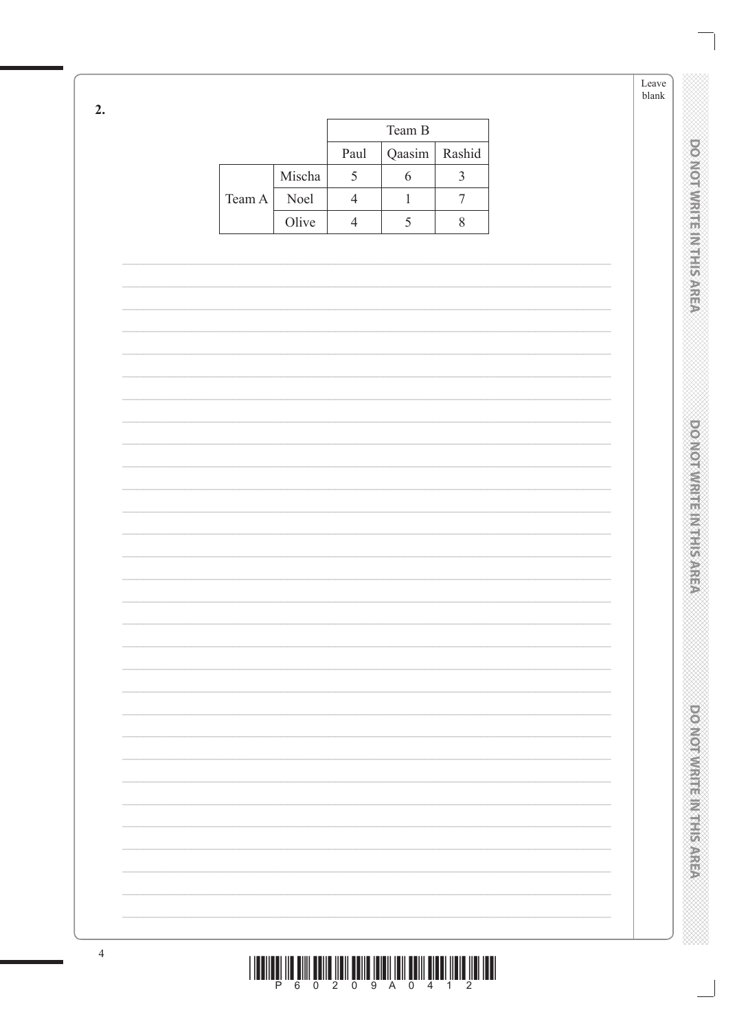Leave blank

DO NOT WRITE IN THIS AREA

 $2.$ 

|        |        |                | Team B       |                |
|--------|--------|----------------|--------------|----------------|
|        |        | Paul           | Qaasim       | Rashid         |
|        | Mischa | 5              | 6            | $\overline{3}$ |
| Team A | Noel   | $\overline{4}$ | $\mathbf{1}$ | $\overline{7}$ |
|        | Olive  | $\overline{4}$ | 5            | $8\,$          |
|        |        |                |              |                |
|        |        |                |              |                |
|        |        |                |              |                |
|        |        |                |              |                |
|        |        |                |              |                |
|        |        |                |              |                |
|        |        |                |              |                |
|        |        |                |              |                |
|        |        |                |              |                |
|        |        |                |              |                |
|        |        |                |              |                |
|        |        |                |              |                |
|        |        |                |              |                |
|        |        |                |              |                |
|        |        |                |              |                |
|        |        |                |              |                |
|        |        |                |              |                |
|        |        |                |              |                |
|        |        |                |              |                |
|        |        |                |              |                |

**PONORMETH MILLION** 

poworwaniany is year



 $\overline{4}$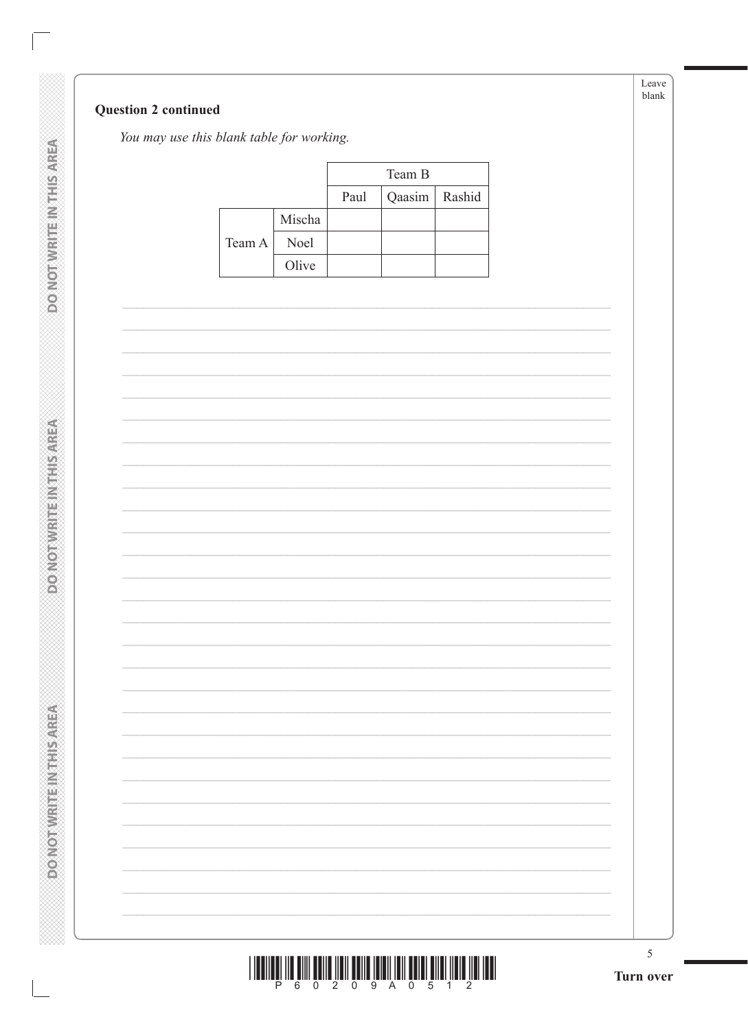### **Question 2 continued**

You may use this blank table for working.

|        |             |      | Team B          |  |
|--------|-------------|------|-----------------|--|
|        |             | Paul | Qaasim   Rashid |  |
|        | Mischa      |      |                 |  |
| Team A | <b>Noel</b> |      |                 |  |
|        | Olive       |      |                 |  |

**DO NOTWARE IN THIS AREA DOMORWEIGHTMFFFFFFFF** 

**DOMORWIGHT MIRTIME** 



Leave blank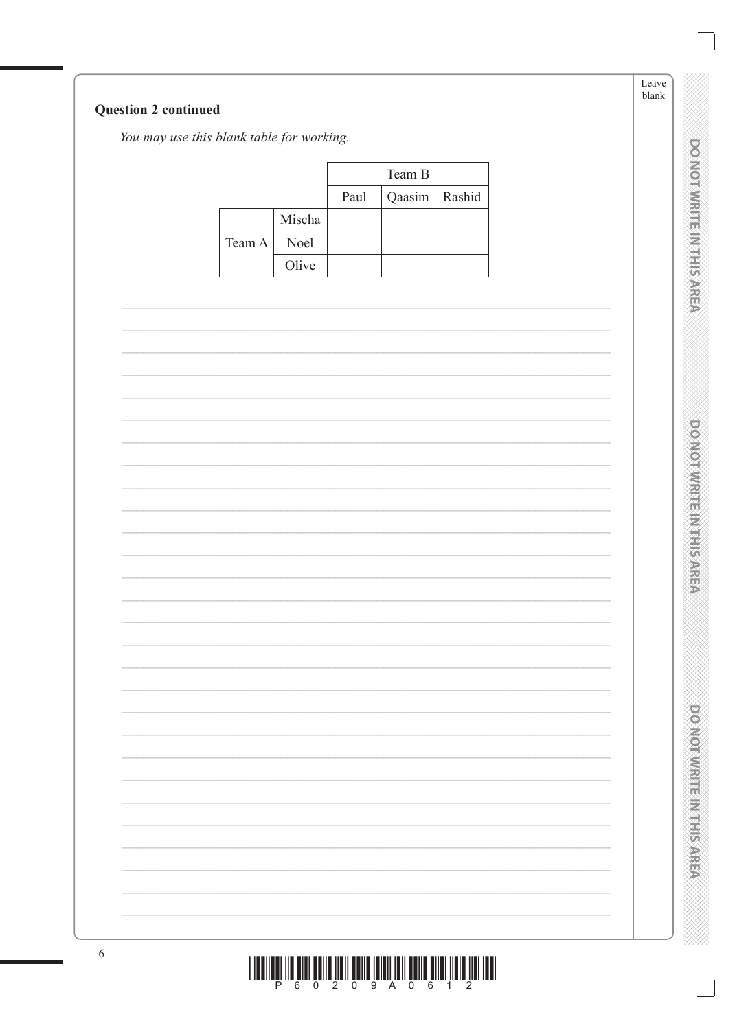|                |        |      | Team B |        |  |
|----------------|--------|------|--------|--------|--|
|                |        | Paul | Qaasim | Rashid |  |
|                | Mischa |      |        |        |  |
| Team ${\bf A}$ | Noel   |      |        |        |  |
|                | Olive  |      |        |        |  |
|                |        |      |        |        |  |
|                |        |      |        |        |  |
|                |        |      |        |        |  |
|                |        |      |        |        |  |
|                |        |      |        |        |  |
|                |        |      |        |        |  |
|                |        |      |        |        |  |
|                |        |      |        |        |  |
|                |        |      |        |        |  |
|                |        |      |        |        |  |
|                |        |      |        |        |  |
|                |        |      |        |        |  |
|                |        |      |        |        |  |
|                |        |      |        |        |  |
|                |        |      |        |        |  |
|                |        |      |        |        |  |
|                |        |      |        |        |  |
|                |        |      |        |        |  |
|                |        |      |        |        |  |
|                |        |      |        |        |  |
|                |        |      |        |        |  |
|                |        |      |        |        |  |
|                |        |      |        |        |  |
|                |        |      |        |        |  |
|                |        |      |        |        |  |
|                |        |      |        |        |  |
|                |        |      |        |        |  |
|                |        |      |        |        |  |
|                |        |      |        |        |  |
|                |        |      |        |        |  |

Leave<br>blank

DO NOT WRITE IN THIS AREA

DONOT WRITER/RELEASEA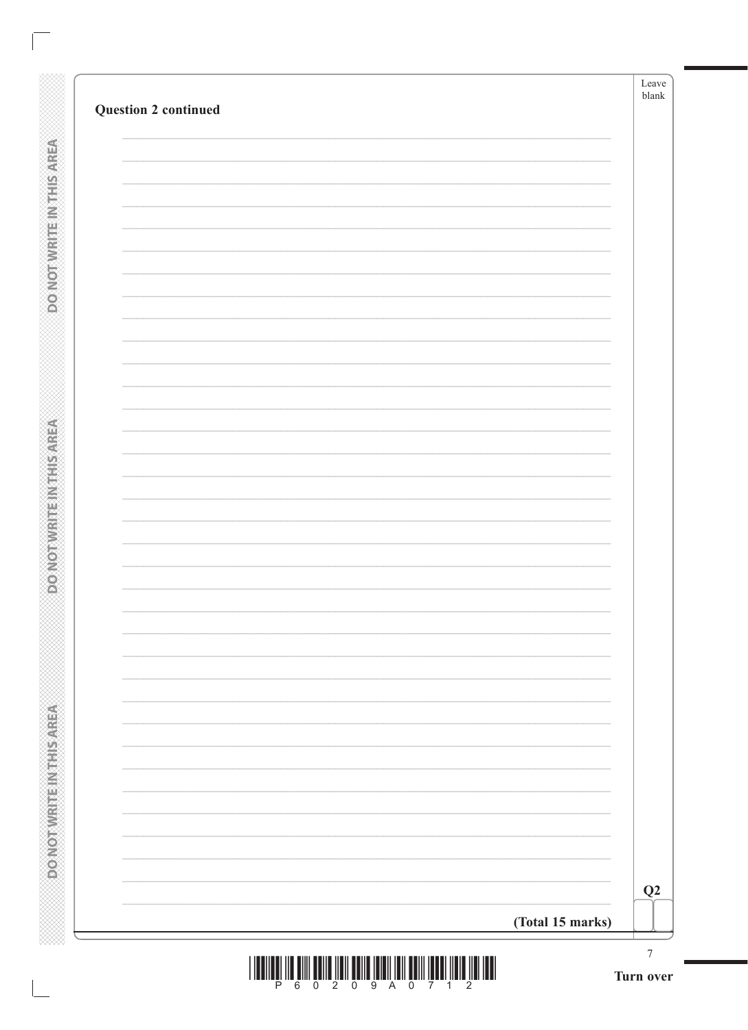| <u> I II dhe ka marka marka marka marka marka marka marka marka marka marka marka marka marka marka marka marka m</u> |  |                       |  |  |  |  |  |
|-----------------------------------------------------------------------------------------------------------------------|--|-----------------------|--|--|--|--|--|
|                                                                                                                       |  | P 6 0 2 0 9 A 0 7 1 2 |  |  |  |  |  |

 $\overline{7}$ 

т

| <b>Question 2 continued</b> | ${\rm Leave}$<br>${\tt blank}$ |
|-----------------------------|--------------------------------|
|                             |                                |
|                             |                                |
|                             |                                |
|                             |                                |
|                             |                                |
|                             |                                |
|                             |                                |
|                             |                                |
|                             |                                |
|                             |                                |
|                             |                                |
|                             |                                |
|                             |                                |
|                             |                                |
|                             |                                |
|                             |                                |
|                             |                                |
|                             |                                |
|                             |                                |
|                             |                                |
|                             |                                |
|                             |                                |
|                             |                                |
|                             |                                |
|                             |                                |
|                             |                                |
|                             |                                |
|                             |                                |
|                             |                                |
|                             |                                |
|                             | Q2                             |

 $\Box$ 

**DONOTWRITEINTHISAREA** 

**DONOTWRITE INTHIS AREA**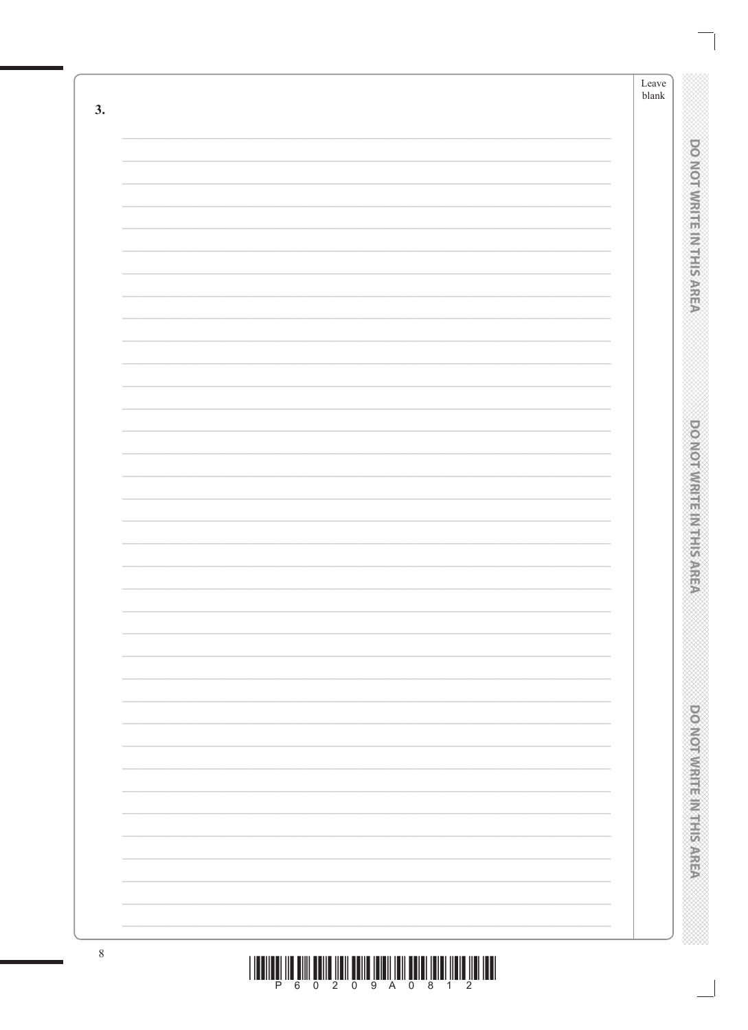| 3. | ${\rm Leave}$<br>blank             |
|----|------------------------------------|
|    |                                    |
|    | <b>DONOMINITE INTERNETARE</b>      |
|    |                                    |
|    |                                    |
|    |                                    |
|    |                                    |
|    |                                    |
|    |                                    |
|    |                                    |
|    |                                    |
|    |                                    |
|    |                                    |
|    | <b>DOMORATION ENTIRES</b>          |
|    |                                    |
|    |                                    |
|    |                                    |
|    |                                    |
|    |                                    |
|    |                                    |
|    |                                    |
|    |                                    |
|    |                                    |
|    | <b>DOMORROWS IN A PROPERTY AND</b> |
|    |                                    |
|    |                                    |
|    |                                    |
|    |                                    |

## <u>TILLIN ÜN ÜN ÜHIL ÖHIL ÖHIL ÖHILÜTIN ÖHIL ÖHIL ÖHIL ÖHIL ÖH</u>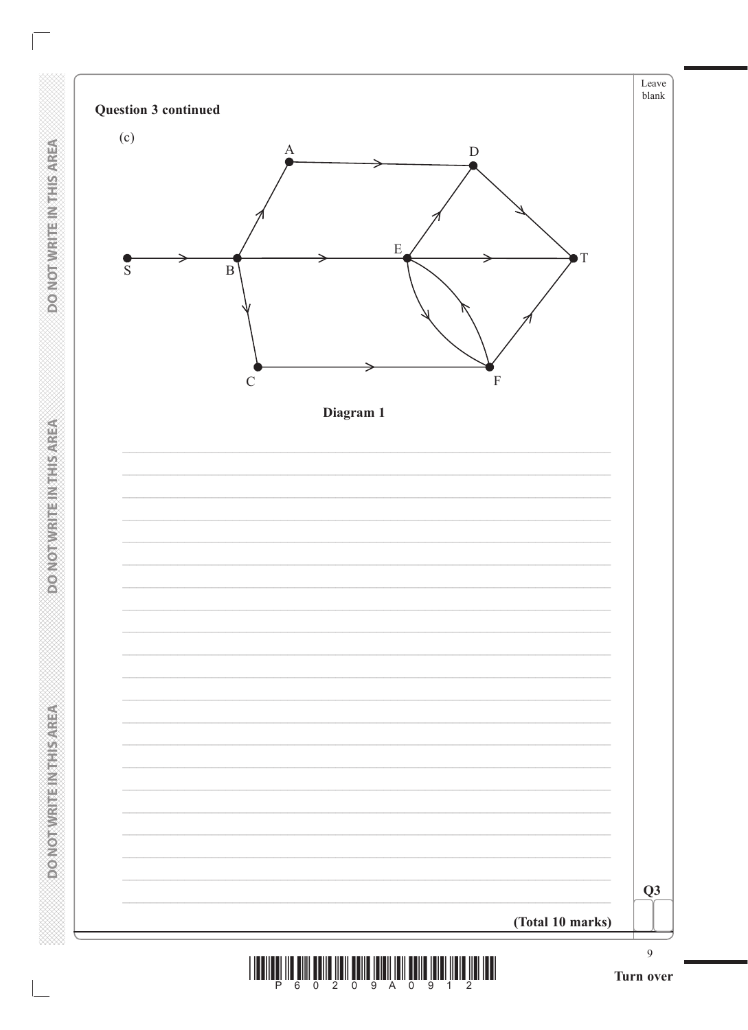|  |  |  |  | 60209A0912 |  |  |
|--|--|--|--|------------|--|--|



**PONOTWRITE NITHSAREA** 

**PO NOTWRITE IN THIS AREA**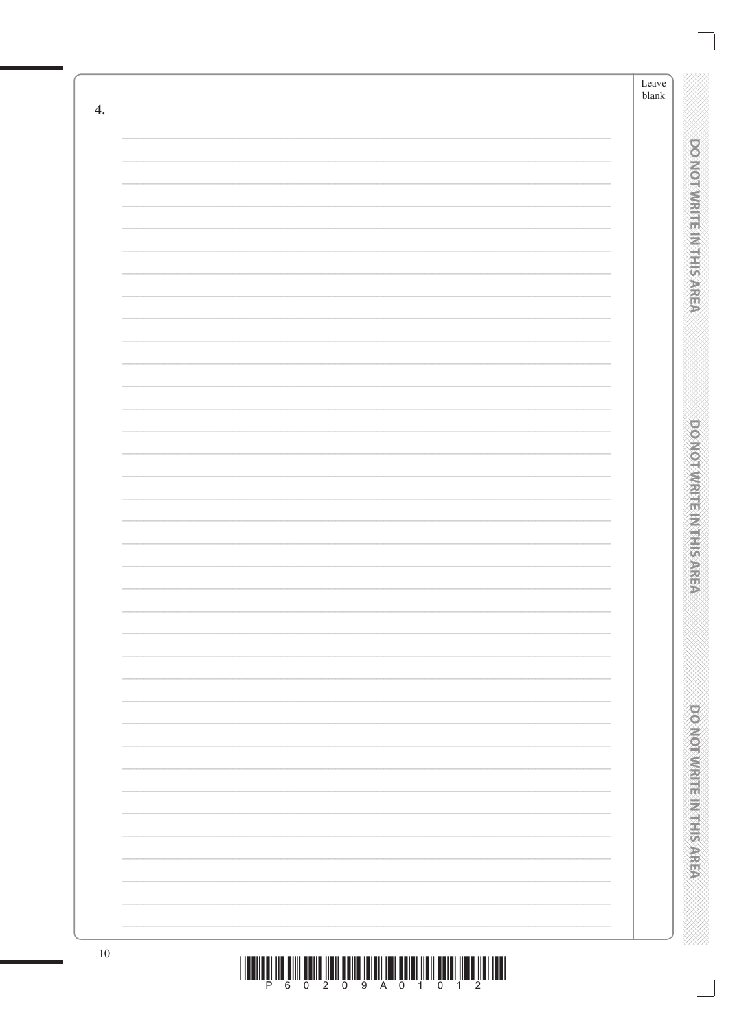| $\boldsymbol{4}$ . |                                                                                               | Leave<br>${\it blank}$            |
|--------------------|-----------------------------------------------------------------------------------------------|-----------------------------------|
|                    |                                                                                               |                                   |
|                    |                                                                                               |                                   |
|                    |                                                                                               |                                   |
|                    |                                                                                               |                                   |
|                    |                                                                                               |                                   |
|                    |                                                                                               | <b>DOMOTIVISTE INSTERNATION</b>   |
|                    |                                                                                               |                                   |
|                    |                                                                                               |                                   |
|                    |                                                                                               |                                   |
|                    |                                                                                               |                                   |
|                    |                                                                                               |                                   |
|                    |                                                                                               |                                   |
|                    |                                                                                               | <b>PONDANT LEATHER MANAGEMENT</b> |
|                    |                                                                                               |                                   |
|                    |                                                                                               |                                   |
|                    |                                                                                               |                                   |
|                    |                                                                                               |                                   |
|                    |                                                                                               |                                   |
|                    |                                                                                               |                                   |
|                    |                                                                                               |                                   |
|                    |                                                                                               |                                   |
|                    |                                                                                               |                                   |
|                    |                                                                                               |                                   |
|                    |                                                                                               |                                   |
|                    |                                                                                               |                                   |
|                    |                                                                                               | <b>DOOMOTOWREN WELSONGER</b>      |
|                    |                                                                                               |                                   |
|                    |                                                                                               |                                   |
|                    |                                                                                               |                                   |
| $10\,$             | THE REPORT OF THE COLLEGE ORDER TO BE A RELEASED FOR A RELEASED OF A RELEASED FOR A RELEASED. |                                   |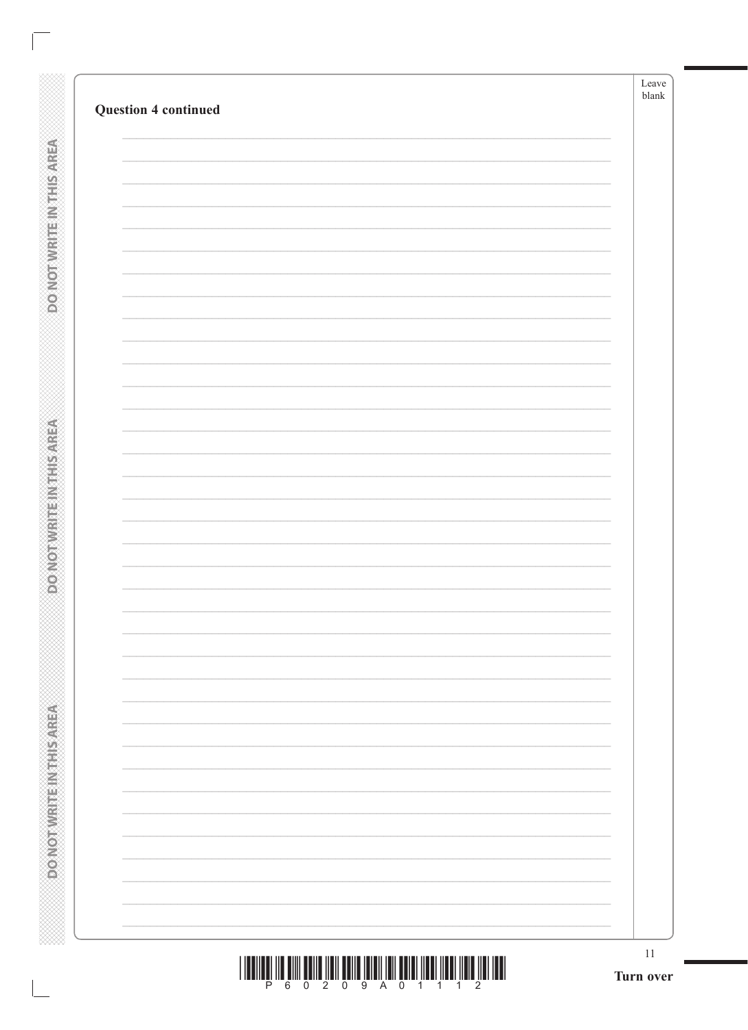| $\begin{array}{c} \text{if} \ \text{if} \ \text{if} \ \text{if} \ \text{if} \ \text{if} \ \text{if} \ \text{if} \ \text{if} \ \text{if} \ \text{if} \ \text{if} \ \text{if} \ \text{if} \ \text{if} \ \text{if} \ \text{if} \ \text{if} \ \text{if} \ \text{if} \ \text{if} \ \text{if} \ \text{if} \ \text{if} \ \text{if} \ \text{if} \ \text{if} \ \text{if} \ \text{if} \ \text{if} \ \text{if} \ \text{if} \ \text{if} \ \text{if} \ \text{if} \ \text{$ | 11<br>Turn over |
|---------------------------------------------------------------------------------------------------------------------------------------------------------------------------------------------------------------------------------------------------------------------------------------------------------------------------------------------------------------------------------------------------------------------------------------------------------------|-----------------|
|                                                                                                                                                                                                                                                                                                                                                                                                                                                               |                 |
|                                                                                                                                                                                                                                                                                                                                                                                                                                                               |                 |
|                                                                                                                                                                                                                                                                                                                                                                                                                                                               |                 |
|                                                                                                                                                                                                                                                                                                                                                                                                                                                               |                 |
|                                                                                                                                                                                                                                                                                                                                                                                                                                                               |                 |
|                                                                                                                                                                                                                                                                                                                                                                                                                                                               |                 |
|                                                                                                                                                                                                                                                                                                                                                                                                                                                               |                 |
|                                                                                                                                                                                                                                                                                                                                                                                                                                                               |                 |
|                                                                                                                                                                                                                                                                                                                                                                                                                                                               |                 |
|                                                                                                                                                                                                                                                                                                                                                                                                                                                               |                 |
|                                                                                                                                                                                                                                                                                                                                                                                                                                                               |                 |
|                                                                                                                                                                                                                                                                                                                                                                                                                                                               |                 |
|                                                                                                                                                                                                                                                                                                                                                                                                                                                               |                 |
|                                                                                                                                                                                                                                                                                                                                                                                                                                                               |                 |
|                                                                                                                                                                                                                                                                                                                                                                                                                                                               |                 |
|                                                                                                                                                                                                                                                                                                                                                                                                                                                               |                 |
|                                                                                                                                                                                                                                                                                                                                                                                                                                                               |                 |
|                                                                                                                                                                                                                                                                                                                                                                                                                                                               |                 |
|                                                                                                                                                                                                                                                                                                                                                                                                                                                               |                 |
|                                                                                                                                                                                                                                                                                                                                                                                                                                                               |                 |
|                                                                                                                                                                                                                                                                                                                                                                                                                                                               |                 |
|                                                                                                                                                                                                                                                                                                                                                                                                                                                               |                 |
|                                                                                                                                                                                                                                                                                                                                                                                                                                                               |                 |
|                                                                                                                                                                                                                                                                                                                                                                                                                                                               |                 |
|                                                                                                                                                                                                                                                                                                                                                                                                                                                               |                 |

DO NOT WRITE IN THIS AREA

**DIGINOT WRITE INSTHISAREA** 

**DOONOTWRITEINTHISAREA** 

Leave